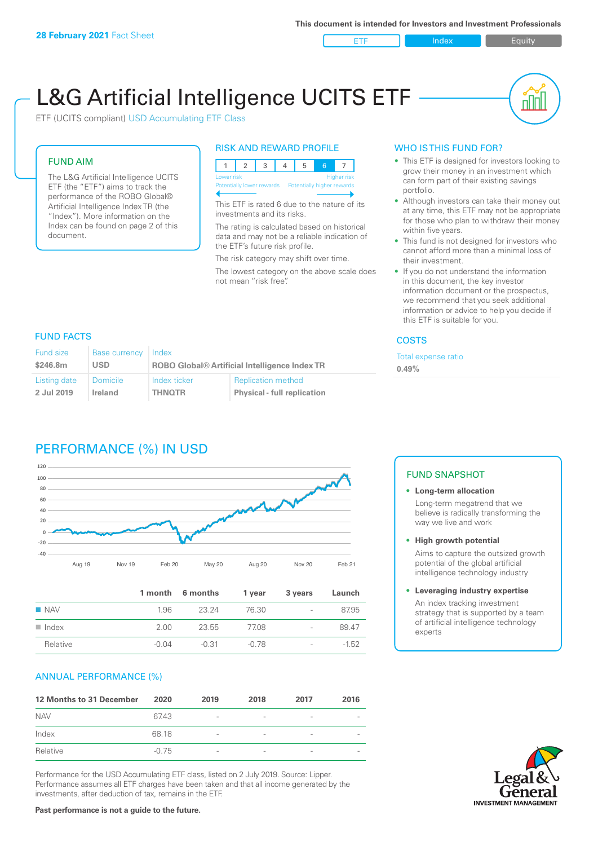ETF Index Buity

nl Inl

# L&G Artificial Intelligence UCITS ETF

ETF (UCITS compliant) USD Accumulating ETF Class

#### FUND AIM

The L&G Artificial Intelligence UCITS ETF (the "ETF") aims to track the performance of the ROBO Global® Artificial Intelligence Index TR (the "Index"). More information on the Index can be found on page 2 of this document.

#### RISK AND REWARD PROFILE



This ETF is rated 6 due to the nature of its investments and its risks.

The rating is calculated based on historical data and may not be a reliable indication of the ETF's future risk profile.

The risk category may shift over time.

The lowest category on the above scale does not mean "risk free".

#### WHO IS THIS FUND FOR?

- This ETF is designed for investors looking to grow their money in an investment which can form part of their existing savings portfolio.
- Although investors can take their money out at any time, this ETF may not be appropriate for those who plan to withdraw their money within five years.
- This fund is not designed for investors who cannot afford more than a minimal loss of their investment.
- If you do not understand the information in this document, the key investor information document or the prospectus, we recommend that you seek additional information or advice to help you decide if this ETF is suitable for you.

#### **COSTS**

Total expense ratio **0.49%**

#### FUND FACTS

| <b>Fund size</b> | <b>Base currency</b> | Index                                                |                                    |
|------------------|----------------------|------------------------------------------------------|------------------------------------|
| \$246.8m         | <b>USD</b>           | <b>ROBO Global® Artificial Intelligence Index TR</b> |                                    |
| Listing date     | <b>Domicile</b>      | Index ticker                                         | <b>Replication method</b>          |
| 2 Jul 2019       | Ireland              | <b>THNOTR</b>                                        | <b>Physical - full replication</b> |

# PERFORMANCE (%) IN USD



|                      |       | 1 month 6 months | 1 year | 3 years                  | Launch  |
|----------------------|-------|------------------|--------|--------------------------|---------|
| $\blacksquare$ NAV   | 1.96  | 23 24            | 76.30  | $\overline{\phantom{a}}$ | 87.95   |
| $\blacksquare$ Index | 200   | 23.55            | 77.08  | $\overline{\phantom{a}}$ | 89.47   |
| Relative             | -0.04 | -0.31            | -0.78  | $\overline{\phantom{a}}$ | $-1.52$ |

## ANNUAL PERFORMANCE (%)

| 12 Months to 31 December | 2020    | 2019                     | 2018 | 2017            | 2016 |
|--------------------------|---------|--------------------------|------|-----------------|------|
| <b>NAV</b>               | 67.43   | $\overline{\phantom{a}}$ |      | ۰               |      |
| Index                    | 68.18   | $\overline{\phantom{a}}$ |      | $\qquad \qquad$ |      |
| Relative                 | $-0.75$ | $\overline{\phantom{a}}$ |      |                 |      |

Performance for the USD Accumulating ETF class, listed on 2 July 2019. Source: Lipper. Performance assumes all ETF charges have been taken and that all income generated by the investments, after deduction of tax, remains in the ETF.

#### FUND SNAPSHOT

#### **• Long-term allocation** Long-term megatrend that we believe is radically transforming the way we live and work

**• High growth potential** Aims to capture the outsized growth potential of the global artificial intelligence technology industry

#### **• Leveraging industry expertise** An index tracking investment strategy that is supported by a team of artificial intelligence technology experts

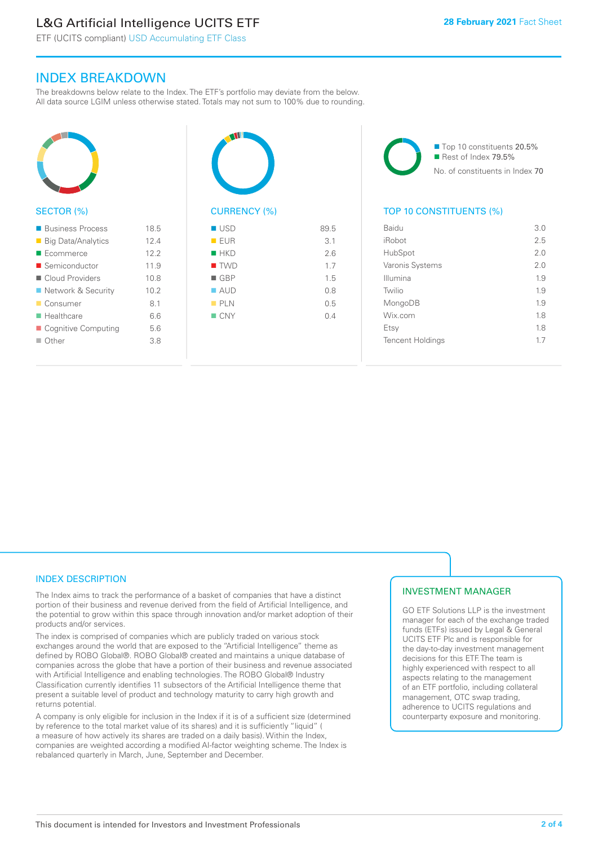# L&G Artificial Intelligence UCITS ETF

ETF (UCITS compliant) USD Accumulating ETF Class

# INDEX BREAKDOWN

The breakdowns below relate to the Index. The ETF's portfolio may deviate from the below. All data source LGIM unless otherwise stated. Totals may not sum to 100% due to rounding.



#### SECTOR (%)

| ■ Business Process        | 18.5 |
|---------------------------|------|
| ■ Big Data/Analytics      | 12.4 |
| $\blacksquare$ Ecommerce  | 122  |
| ■ Semiconductor           | 11.9 |
| Cloud Providers           | 10.8 |
| ■ Network & Security      | 10.2 |
| ■ Consumer                | 81   |
| $\blacksquare$ Healthcare | 6.6  |
| ■ Cognitive Computing     | 5.6  |
| $\Box$ Other              | 3.8  |
|                           |      |



# $\blacksquare$  USD 89.5  $R = F \cup R$  3.1  $HKN$  26  $\blacksquare$  TWD  $1.7$

 $\blacksquare$  GBP 1.5  $\blacksquare$  AUD 0.8  $PIN$  0.5  $N = CNY$  0.4

■ Top 10 constituents 20.5% Rest of Index 79.5% No. of constituents in Index 70

# TOP 10 CONSTITUENTS (%)

| Baidu                   | 3.0 |
|-------------------------|-----|
| iRobot                  | 2.5 |
| HubSpot                 | 2.0 |
| Varonis Systems         | 2.0 |
| Illumina                | 1.9 |
| Twilio                  | 1.9 |
| MongoDB                 | 1.9 |
| Wix.com                 | 1.8 |
| Etsy                    | 1.8 |
| <b>Tencent Holdings</b> | 17  |
|                         |     |

## INDEX DESCRIPTION

The Index aims to track the performance of a basket of companies that have a distinct portion of their business and revenue derived from the field of Artificial Intelligence, and the potential to grow within this space through innovation and/or market adoption of their products and/or services.

The index is comprised of companies which are publicly traded on various stock exchanges around the world that are exposed to the "Artificial Intelligence" theme as defined by ROBO Global®. ROBO Global® created and maintains a unique database of companies across the globe that have a portion of their business and revenue associated with Artificial Intelligence and enabling technologies. The ROBO Global® Industry Classification currently identifies 11 subsectors of the Artificial Intelligence theme that present a suitable level of product and technology maturity to carry high growth and returns potential.

A company is only eligible for inclusion in the Index if it is of a sufficient size (determined by reference to the total market value of its shares) and it is sufficiently "liquid" ( a measure of how actively its shares are traded on a daily basis). Within the Index, companies are weighted according a modified AI-factor weighting scheme. The Index is rebalanced quarterly in March, June, September and December.

## INVESTMENT MANAGER

GO ETF Solutions LLP is the investment manager for each of the exchange traded funds (ETFs) issued by Legal & General UCITS ETF Plc and is responsible for the day-to-day investment management decisions for this ETF. The team is highly experienced with respect to all aspects relating to the management of an ETF portfolio, including collateral management, OTC swap trading, adherence to UCITS regulations and counterparty exposure and monitoring.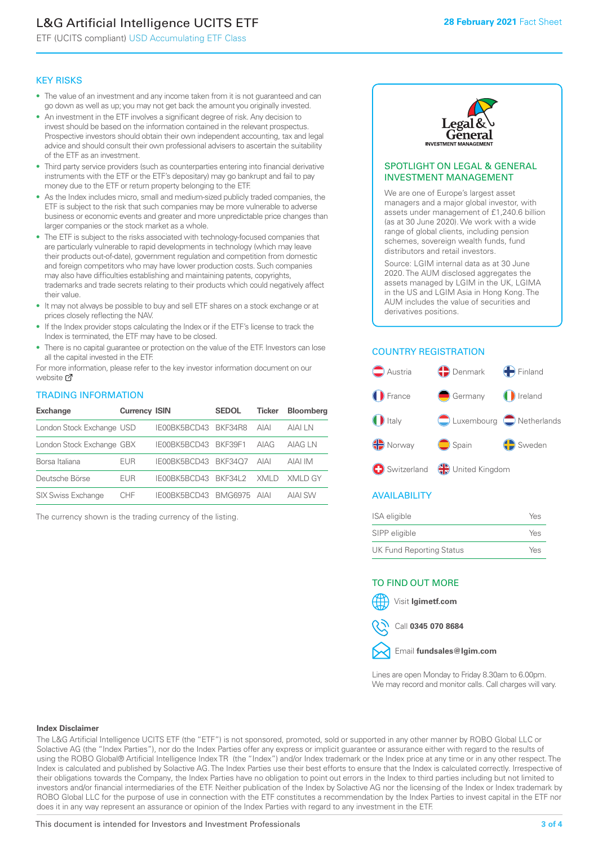# L&G Artificial Intelligence UCITS ETF

ETF (UCITS compliant) USD Accumulating ETF Class

#### KEY RISKS

- The value of an investment and any income taken from it is not guaranteed and can go down as well as up; you may not get back the amount you originally invested.
- An investment in the ETF involves a significant degree of risk. Any decision to invest should be based on the information contained in the relevant prospectus. Prospective investors should obtain their own independent accounting, tax and legal advice and should consult their own professional advisers to ascertain the suitability of the ETF as an investment.
- Third party service providers (such as counterparties entering into financial derivative instruments with the ETF or the ETF's depositary) may go bankrupt and fail to pay money due to the ETF or return property belonging to the ETF.
- As the Index includes micro, small and medium-sized publicly traded companies, the ETF is subject to the risk that such companies may be more vulnerable to adverse business or economic events and greater and more unpredictable price changes than larger companies or the stock market as a whole.
- The ETF is subject to the risks associated with technology-focused companies that are particularly vulnerable to rapid developments in technology (which may leave their products out-of-date), government regulation and competition from domestic and foreign competitors who may have lower production costs. Such companies may also have difficulties establishing and maintaining patents, copyrights, trademarks and trade secrets relating to their products which could negatively affect their value.
- It may not always be possible to buy and sell ETF shares on a stock exchange or at prices closely reflecting the NAV.
- If the Index provider stops calculating the Index or if the ETF's license to track the Index is terminated, the ETF may have to be closed.
- There is no capital guarantee or protection on the value of the ETF. Investors can lose all the capital invested in the ETF.

For mo[re inf](https://www.lgimetf.com/)ormation, please refer to the key investor information document on our website D

#### TRADING INFORMATION

| <b>Exchange</b>           | <b>Currency ISIN</b> |                      | <b>SEDOL</b>   | <b>Ticker</b> | <b>Bloomberg</b> |
|---------------------------|----------------------|----------------------|----------------|---------------|------------------|
| London Stock Exchange USD |                      | IE00BK5BCD43 BKF34R8 |                | <b>AIAI</b>   | AIAI I N         |
| London Stock Exchange GBX |                      | IE00BK5BCD43 BKF39F1 |                | AIAG          | AIAG LN          |
| Borsa Italiana            | <b>EUR</b>           | IE00BK5BCD43 BKF34O7 |                | AIAI          | AIAI IM          |
| Deutsche Börse            | EUR                  | IE00BK5BCD43 BKF34L2 |                | XMI D         | XMI D GY         |
| <b>SIX Swiss Exchange</b> | <b>CHF</b>           | IE00BK5BCD43         | <b>BMG6975</b> | <b>AIAI</b>   | <b>AIAI SW</b>   |

The currency shown is the trading currency of the listing.



#### SPOTLIGHT ON LEGAL & GENERAL INVESTMENT MANAGEMENT

We are one of Europe's largest asset managers and a major global investor, with assets under management of £1,240.6 billion (as at 30 June 2020). We work with a wide range of global clients, including pension schemes, sovereign wealth funds, fund distributors and retail investors.

Source: LGIM internal data as at 30 June 2020. The AUM disclosed aggregates the assets managed by LGIM in the UK, LGIMA in the US and LGIM Asia in Hong Kong. The AUM includes the value of securities and derivatives positions.

# COUNTRY REGISTRATION



#### **AVAILABILITY**

| ISA eligible                    | Yes |
|---------------------------------|-----|
| SIPP eligible                   | Yes |
| <b>UK Fund Reporting Status</b> | Yes |

#### TO FIND OUT MORE







Lines are open Monday to Friday 8.30am to 6.00pm. We may record and monitor calls. Call charges will vary.

#### **Index Disclaimer**

The L&G Artificial Intelligence UCITS ETF (the "ETF") is not sponsored, promoted, sold or supported in any other manner by ROBO Global LLC or Solactive AG (the "Index Parties"), nor do the Index Parties offer any express or implicit guarantee or assurance either with regard to the results of using the ROBO Global® Artificial Intelligence Index TR (the "Index") and/or Index trademark or the Index price at any time or in any other respect. The Index is calculated and published by Solactive AG. The Index Parties use their best efforts to ensure that the Index is calculated correctly. Irrespective of their obligations towards the Company, the Index Parties have no obligation to point out errors in the Index to third parties including but not limited to investors and/or financial intermediaries of the ETF. Neither publication of the Index by Solactive AG nor the licensing of the Index or Index trademark by ROBO Global LLC for the purpose of use in connection with the ETF constitutes a recommendation by the Index Parties to invest capital in the ETF nor does it in any way represent an assurance or opinion of the Index Parties with regard to any investment in the ETF.